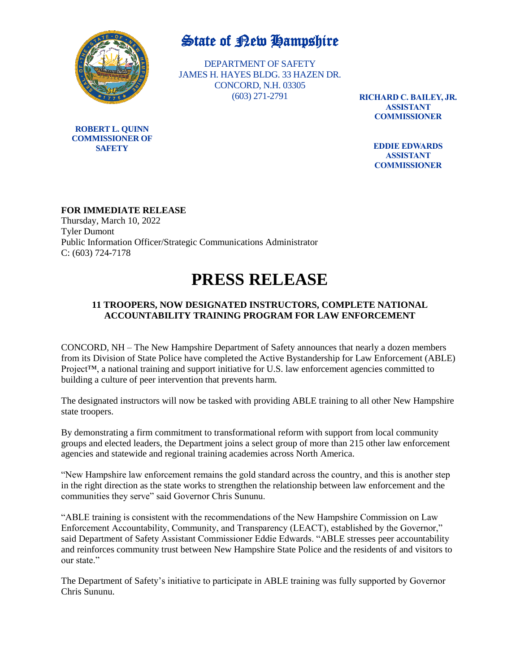

**ROBERT L. QUINN COMMISSIONER OF SAFETY**

## State of New Hampshire

DEPARTMENT OF SAFETY JAMES H. HAYES BLDG. 33 HAZEN DR. CONCORD, N.H. 03305 (603) 271-2791

**RICHARD C. BAILEY, JR. ASSISTANT COMMISSIONER**

> **EDDIE EDWARDS ASSISTANT COMMISSIONER**

### **FOR IMMEDIATE RELEASE**

Thursday, March 10, 2022 Tyler Dumont Public Information Officer/Strategic Communications Administrator C: (603) 724-7178

# **PRESS RELEASE**

### **11 TROOPERS, NOW DESIGNATED INSTRUCTORS, COMPLETE NATIONAL ACCOUNTABILITY TRAINING PROGRAM FOR LAW ENFORCEMENT**

CONCORD, NH – The New Hampshire Department of Safety announces that nearly a dozen members from its Division of State Police have completed the Active Bystandership for Law Enforcement (ABLE) Project<sup>™</sup>, a national training and support initiative for U.S. law enforcement agencies committed to building a culture of peer intervention that prevents harm.

The designated instructors will now be tasked with providing ABLE training to all other New Hampshire state troopers.

By demonstrating a firm commitment to transformational reform with support from local community groups and elected leaders, the Department joins a select group of more than 215 other law enforcement agencies and statewide and regional training academies across North America.

"New Hampshire law enforcement remains the gold standard across the country, and this is another step in the right direction as the state works to strengthen the relationship between law enforcement and the communities they serve" said Governor Chris Sununu.

"ABLE training is consistent with the recommendations of the New Hampshire Commission on Law Enforcement Accountability, Community, and Transparency (LEACT), established by the Governor," said Department of Safety Assistant Commissioner Eddie Edwards. "ABLE stresses peer accountability and reinforces community trust between New Hampshire State Police and the residents of and visitors to our state."

The Department of Safety's initiative to participate in ABLE training was fully supported by Governor Chris Sununu.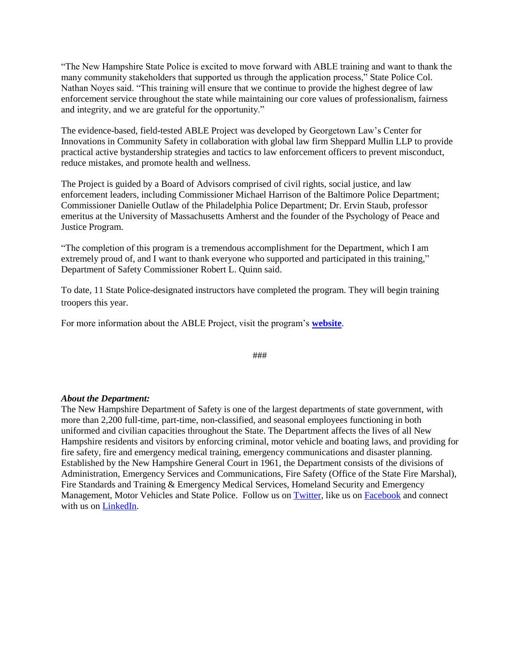"The New Hampshire State Police is excited to move forward with ABLE training and want to thank the many community stakeholders that supported us through the application process," State Police Col. Nathan Noyes said. "This training will ensure that we continue to provide the highest degree of law enforcement service throughout the state while maintaining our core values of professionalism, fairness and integrity, and we are grateful for the opportunity."

The evidence-based, field-tested ABLE Project was developed by Georgetown Law's Center for Innovations in Community Safety in collaboration with global law firm Sheppard Mullin LLP to provide practical active bystandership strategies and tactics to law enforcement officers to prevent misconduct, reduce mistakes, and promote health and wellness.

The Project is guided by a Board of Advisors comprised of civil rights, social justice, and law enforcement leaders, including Commissioner Michael Harrison of the Baltimore Police Department; Commissioner Danielle Outlaw of the Philadelphia Police Department; Dr. Ervin Staub, professor emeritus at the University of Massachusetts Amherst and the founder of the Psychology of Peace and Justice Program.

"The completion of this program is a tremendous accomplishment for the Department, which I am extremely proud of, and I want to thank everyone who supported and participated in this training," Department of Safety Commissioner Robert L. Quinn said.

To date, 11 State Police-designated instructors have completed the program. They will begin training troopers this year.

For more information about the ABLE Project, visit the program's **[website](https://www.law.georgetown.edu/innovative-policing-program/active-bystandership-for-law-enforcement/)**.

###

#### *About the Department:*

The New Hampshire Department of Safety is one of the largest departments of state government, with more than 2,200 full-time, part-time, non-classified, and seasonal employees functioning in both uniformed and civilian capacities throughout the State. The Department affects the lives of all New Hampshire residents and visitors by enforcing criminal, motor vehicle and boating laws, and providing for fire safety, fire and emergency medical training, emergency communications and disaster planning. Established by the New Hampshire General Court in 1961, the Department consists of the divisions of Administration, Emergency Services and Communications, Fire Safety (Office of the State Fire Marshal), Fire Standards and Training & Emergency Medical Services, Homeland Security and Emergency Management, Motor Vehicles and State Police. Follow us o[n Twitter,](https://twitter.com/NH_DeptSafety) like us on [Facebook](https://www.facebook.com/NHDeptSafety) and connect with us on [LinkedIn.](https://www.linkedin.com/company/nh-dos/)